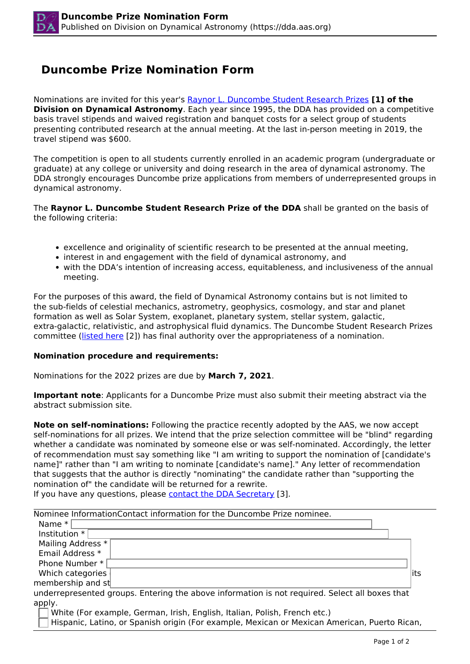## **Duncombe Prize Nomination Form**

Nominations are invited for this year's [Raynor L. Duncombe Student Research Prizes](https://dda.aas.org/awards/duncombe) **[1] of the Division on Dynamical Astronomy**. Each year since 1995, the DDA has provided on a competitive basis travel stipends and waived registration and banquet costs for a select group of students presenting contributed research at the annual meeting. At the last in-person meeting in 2019, the travel stipend was \$600.

The competition is open to all students currently enrolled in an academic program (undergraduate or graduate) at any college or university and doing research in the area of dynamical astronomy. The DDA strongly encourages Duncombe prize applications from members of underrepresented groups in dynamical astronomy.

The **Raynor L. Duncombe Student Research Prize of the DDA** shall be granted on the basis of the following criteria:

- excellence and originality of scientific research to be presented at the annual meeting,
- interest in and engagement with the field of dynamical astronomy, and
- with the DDA's intention of increasing access, equitableness, and inclusiveness of the annual meeting.

For the purposes of this award, the field of Dynamical Astronomy contains but is not limited to the sub-fields of celestial mechanics, astrometry, geophysics, cosmology, and star and planet formation as well as Solar System, exoplanet, planetary system, stellar system, galactic, extra-galactic, relativistic, and astrophysical fluid dynamics. The Duncombe Student Research Prizes committee (listed here [2]) has final authority over the appropriateness of a nomination.

## **Nomination procedure and requirements:**

Nominations for the 2022 prizes are due by **March 7, 2021**.

**Important note**: Applicants for a Duncombe Prize must also submit their meeting abstract via the abstract submission site.

**Note on self-nominations:** Following the practice recently adopted by the AAS, we now accept self-nominations for all prizes. We intend that the prize selection committee will be "blind" regarding whether a candidate was nominated by someone else or was self-nominated. Accordingly, the letter of recommendation must say something like "I am writing to support the nomination of [candidate's name]" rather than "I am writing to nominate [candidate's name]." Any letter of recommendation that suggests that the author is directly "nominating" the candidate rather than "supporting the nomination of" the candidate will be returned for a rewrite.

If you have any questions, please contact the DDA Secretary [3].

| Nominee InformationContact information for the Duncombe Prize nominee.                         |  |
|------------------------------------------------------------------------------------------------|--|
| Name $*$                                                                                       |  |
| Institution *                                                                                  |  |
| Mailing Address *                                                                              |  |
| Email Address *                                                                                |  |
| Phone Number *                                                                                 |  |
| Which categories<br>lits                                                                       |  |
| membership and st                                                                              |  |
| underrepresented groups. Entering the above information is not required. Select all boxes that |  |
| apply.                                                                                         |  |
| White (For example, German, Irish, English, Italian, Polish, French etc.)                      |  |

Hispanic, Latino, or Spanish origin (For example, Mexican or Mexican American, Puerto Rican,